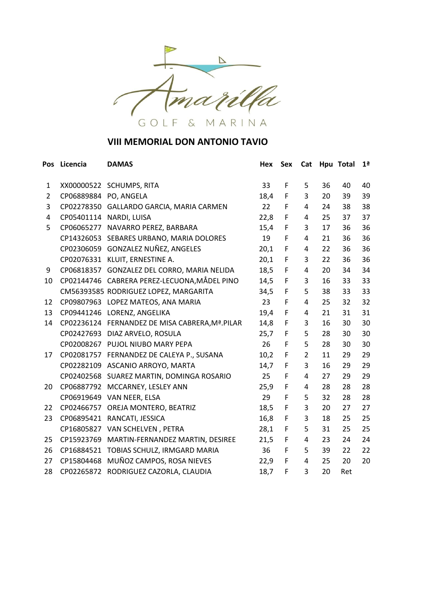

| <b>Pos</b>     | Licencia   | <b>DAMAS</b>                                    | <b>Hex</b> | Sex         | Cat |    | Hpu Total | 1 <sup>a</sup> |
|----------------|------------|-------------------------------------------------|------------|-------------|-----|----|-----------|----------------|
| 1              |            | XX00000522 SCHUMPS, RITA                        | 33         | F           | 5   | 36 | 40        | 40             |
| $\overline{2}$ | CP06889884 | PO, ANGELA                                      | 18,4       | F           | 3   | 20 | 39        | 39             |
| 3              |            | CP02278350 GALLARDO GARCIA, MARIA CARMEN        | 22         | F           | 4   | 24 | 38        | 38             |
| 4              |            | CP05401114 NARDI, LUISA                         | 22,8       | F           | 4   | 25 | 37        | 37             |
| 5              | CP06065277 | NAVARRO PEREZ, BARBARA                          | 15,4       | F           | 3   | 17 | 36        | 36             |
|                |            | CP14326053 SEBARES URBANO, MARIA DOLORES        | 19         | F           | 4   | 21 | 36        | 36             |
|                |            | CP02306059 GONZALEZ NUÑEZ, ANGELES              | 20,1       | F           | 4   | 22 | 36        | 36             |
|                |            | CP02076331 KLUIT, ERNESTINE A.                  | 20,1       | F           | 3   | 22 | 36        | 36             |
| 9              | CP06818357 | GONZALEZ DEL CORRO, MARIA NELIDA                | 18,5       | F           | 4   | 20 | 34        | 34             |
| 10             |            | CP02144746 CABRERA PEREZ-LECUONA, MÅDEL PINO    | 14,5       | F           | 3   | 16 | 33        | 33             |
|                |            | CM56393585 RODRIGUEZ LOPEZ, MARGARITA           | 34,5       | F           | 5   | 38 | 33        | 33             |
| 12             |            | CP09807963 LOPEZ MATEOS, ANA MARIA              | 23         | F           | 4   | 25 | 32        | 32             |
| 13             |            | CP09441246 LORENZ, ANGELIKA                     | 19,4       | F           | 4   | 21 | 31        | 31             |
| 14             |            | CP02236124 FERNANDEZ DE MISA CABRERA, Mª. PILAR | 14,8       | F           | 3   | 16 | 30        | 30             |
|                |            | CP02427693 DIAZ ARVELO, ROSULA                  | 25,7       | F           | 5   | 28 | 30        | 30             |
|                |            | CP02008267 PUJOL NIUBO MARY PEPA                | 26         | F           | 5   | 28 | 30        | 30             |
| 17             | CP02081757 | FERNANDEZ DE CALEYA P., SUSANA                  | 10,2       | F           | 2   | 11 | 29        | 29             |
|                |            | CP02282109 ASCANIO ARROYO, MARTA                | 14,7       | F           | 3   | 16 | 29        | 29             |
|                | CP02402568 | SUAREZ MARTIN, DOMINGA ROSARIO                  | 25         | F           | 4   | 27 | 29        | 29             |
| 20             | CP06887792 | MCCARNEY, LESLEY ANN                            | 25,9       | F           | 4   | 28 | 28        | 28             |
|                | CP06919649 | VAN NEER, ELSA                                  | 29         | F           | 5   | 32 | 28        | 28             |
| 22             |            | CP02466757 OREJA MONTERO, BEATRIZ               | 18,5       | F           | 3   | 20 | 27        | 27             |
| 23             | CP06895421 | RANCATI, JESSICA                                | 16,8       | F           | 3   | 18 | 25        | 25             |
|                |            | CP16805827 VAN SCHELVEN, PETRA                  | 28,1       | $\mathsf F$ | 5   | 31 | 25        | 25             |
| 25             | CP15923769 | MARTIN-FERNANDEZ MARTIN, DESIREE                | 21,5       | F           | 4   | 23 | 24        | 24             |
| 26             |            | CP16884521 TOBIAS SCHULZ, IRMGARD MARIA         | 36         | F           | 5   | 39 | 22        | 22             |
| 27             | CP15804468 | MUÑOZ CAMPOS, ROSA NIEVES                       | 22,9       | F           | 4   | 25 | 20        | 20             |
| 28             |            | CP02265872 RODRIGUEZ CAZORLA, CLAUDIA           | 18,7       | F           | 3   | 20 | Ret       |                |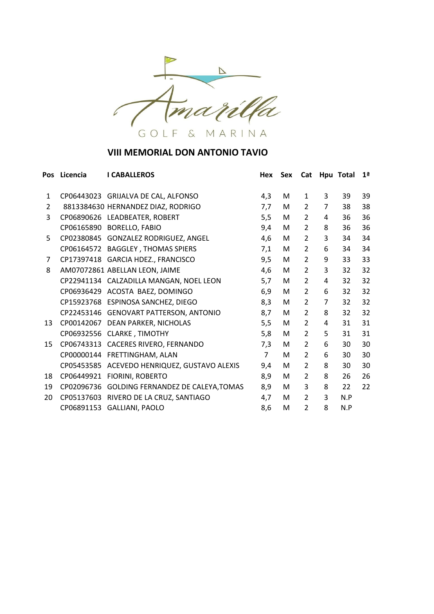

| <b>Pos</b>     | Licencia   | <b>I CABALLEROS</b>                           | Hex            | Sex | Cat            |                | Hpu Total | 1 <sup>a</sup> |
|----------------|------------|-----------------------------------------------|----------------|-----|----------------|----------------|-----------|----------------|
| $\mathbf{1}$   |            | CP06443023 GRIJALVA DE CAL, ALFONSO           | 4,3            | м   | $\mathbf{1}$   | 3              | 39        | 39             |
| $\overline{2}$ |            | 8813384630 HERNANDEZ DIAZ, RODRIGO            | 7,7            | M   | 2              | $\overline{7}$ | 38        | 38             |
| 3              |            | CP06890626 LEADBEATER, ROBERT                 | 5,5            | M   | $\overline{2}$ | 4              | 36        | 36             |
|                |            | CP06165890 BORELLO, FABIO                     | 9,4            | M   | 2              | 8              | 36        | 36             |
| 5              |            | CP02380845 GONZALEZ RODRIGUEZ, ANGEL          | 4,6            | M   | $\overline{2}$ | 3              | 34        | 34             |
|                |            | CP06164572 BAGGLEY, THOMAS SPIERS             | 7,1            | M   | $\overline{2}$ | 6              | 34        | 34             |
| 7              |            | CP17397418 GARCIA HDEZ., FRANCISCO            | 9,5            | M   | $\overline{2}$ | 9              | 33        | 33             |
| 8              |            | AM07072861 ABELLAN LEON, JAIME                | 4,6            | M   | $\overline{2}$ | 3              | 32        | 32             |
|                |            | CP22941134 CALZADILLA MANGAN, NOEL LEON       | 5,7            | M   | $\overline{2}$ | 4              | 32        | 32             |
|                |            | CP06936429 ACOSTA BAEZ, DOMINGO               | 6,9            | М   | 2              | 6              | 32        | 32             |
|                |            | CP15923768 ESPINOSA SANCHEZ, DIEGO            | 8,3            | M   | $\overline{2}$ | $\overline{7}$ | 32        | 32             |
|                |            | CP22453146 GENOVART PATTERSON, ANTONIO        | 8,7            | M   | 2              | 8              | 32        | 32             |
| 13             | CP00142067 | DEAN PARKER, NICHOLAS                         | 5,5            | M   | $\overline{2}$ | 4              | 31        | 31             |
|                |            | CP06932556 CLARKE, TIMOTHY                    | 5,8            | M   | $\overline{2}$ | 5              | 31        | 31             |
| 15             |            | CP06743313 CACERES RIVERO, FERNANDO           | 7,3            | M   | $\overline{2}$ | 6              | 30        | 30             |
|                |            | CP00000144 FRETTINGHAM, ALAN                  | $\overline{7}$ | м   | $\overline{2}$ | 6              | 30        | 30             |
|                | CP05453585 | ACEVEDO HENRIQUEZ, GUSTAVO ALEXIS             | 9,4            | М   | $\overline{2}$ | 8              | 30        | 30             |
| 18             | CP06449921 | FIORINI, ROBERTO                              | 8,9            | M   | $\overline{2}$ | 8              | 26        | 26             |
| 19             |            | CP02096736 GOLDING FERNANDEZ DE CALEYA, TOMAS | 8,9            | M   | 3              | 8              | 22        | 22             |
| 20             | CP05137603 | RIVERO DE LA CRUZ, SANTIAGO                   | 4,7            | M   | $\overline{2}$ | 3              | N.P       |                |
|                | CP06891153 | GALLIANI, PAOLO                               | 8,6            | м   | $\overline{2}$ | 8              | N.P       |                |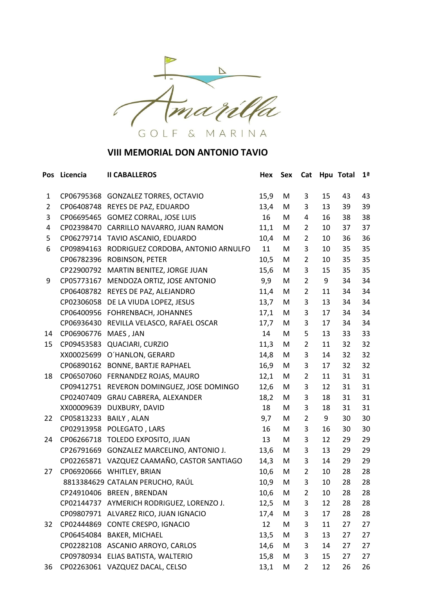

| Pos            | Licencia   | <b>II CABALLEROS</b>                        | Hex               | Sex | Cat            |    | Hpu Total | 1 <sup>a</sup> |
|----------------|------------|---------------------------------------------|-------------------|-----|----------------|----|-----------|----------------|
| 1              |            | CP06795368 GONZALEZ TORRES, OCTAVIO         | 15,9              | M   | 3              | 15 | 43        | 43             |
| $\overline{2}$ |            | CP06408748 REYES DE PAZ, EDUARDO            | 13,4              | M   | 3              | 13 | 39        | 39             |
| 3              | CP06695465 | <b>GOMEZ CORRAL, JOSE LUIS</b>              | 16                | М   | 4              | 16 | 38        | 38             |
| 4              |            | CP02398470 CARRILLO NAVARRO, JUAN RAMON     | 11,1              | M   | $\overline{2}$ | 10 | 37        | 37             |
| 5              |            | CP06279714 TAVIO ASCANIO, EDUARDO           | 10,4              | M   | 2              | 10 | 36        | 36             |
| 6              | CP09894163 | RODRIGUEZ CORDOBA, ANTONIO ARNULFO          | 11                | M   | 3              | 10 | 35        | 35             |
|                | CP06782396 | ROBINSON, PETER                             | 10,5              | M   | 2              | 10 | 35        | 35             |
|                | CP22900792 | MARTIN BENITEZ, JORGE JUAN                  | 15,6              | M   | 3              | 15 | 35        | 35             |
| 9              | CP05773167 | MENDOZA ORTIZ, JOSE ANTONIO                 | 9,9               | M   | $\overline{2}$ | 9  | 34        | 34             |
|                | CP06408782 | REYES DE PAZ, ALEJANDRO                     | 11,4              | M   | $\overline{2}$ | 11 | 34        | 34             |
|                | CP02306058 | DE LA VIUDA LOPEZ, JESUS                    | 13,7              | M   | 3              | 13 | 34        | 34             |
|                |            | CP06400956 FOHRENBACH, JOHANNES             | 17,1              | M   | 3              | 17 | 34        | 34             |
|                | CP06936430 | REVILLA VELASCO, RAFAEL OSCAR               | 17,7              | M   | 3              | 17 | 34        | 34             |
| 14             | CP06906776 | MAES, JAN                                   | 14                | M   | 5              | 13 | 33        | 33             |
| 15             | CP09453583 | QUACIARI, CURZIO                            | 11,3              | M   | 2              | 11 | 32        | 32             |
|                |            | XX00025699 O'HANLON, GERARD                 | 14,8              | M   | 3              | 14 | 32        | 32             |
|                | CP06890162 | <b>BONNE, BARTJE RAPHAEL</b>                | 16,9              | M   | 3              | 17 | 32        | 32             |
| 18             |            | CP06507060 FERNANDEZ ROJAS, MAURO           | 12,1              | M   | $\overline{2}$ | 11 | 31        | 31             |
|                | CP09412751 | REVERON DOMINGUEZ, JOSE DOMINGO             | 12,6              | M   | 3              | 12 | 31        | 31             |
|                | CP02407409 | GRAU CABRERA, ALEXANDER                     | 18,2              | M   | 3              | 18 | 31        | 31             |
|                | XX00009639 | DUXBURY, DAVID                              | 18                | M   | 3              | 18 | 31        | 31             |
| 22             | CP05813233 | <b>BAILY, ALAN</b>                          | 9,7               | M   | $\overline{2}$ | 9  | 30        | 30             |
|                |            | CP02913958 POLEGATO, LARS                   | 16                | M   | 3              | 16 | 30        | 30             |
| 24             |            | CP06266718 TOLEDO EXPOSITO, JUAN            | 13                | M   | 3              | 12 | 29        | 29             |
|                |            | CP26791669 GONZALEZ MARCELINO, ANTONIO J.   | 13,6              | M   | 3              | 13 | 29        | 29             |
|                |            | CP02265871 VAZQUEZ CAAMAÑO, CASTOR SANTIAGO | 14,3              | M   | 3              | 14 | 29        | 29             |
| 27             |            | CP06920666 WHITLEY, BRIAN                   | 10,6              | M   | $\overline{2}$ | 10 | 28        | 28             |
|                |            | 8813384629 CATALAN PERUCHO, RAÚL            | 10,9              | M   | 3              | 10 | 28        | 28             |
|                |            | CP24910406 BREEN, BRENDAN                   | 10,6              | M   | $\overline{2}$ | 10 | 28        | 28             |
|                |            | CP02144737 AYMERICH RODRIGUEZ, LORENZO J.   | 12,5              | M   | 3              | 12 | 28        | 28             |
|                |            | CP09807971 ALVAREZ RICO, JUAN IGNACIO       | 17,4              | M   | 3              | 17 | 28        | 28             |
| 32             |            | CP02444869 CONTE CRESPO, IGNACIO            | $12 \overline{ }$ | M   | 3              | 11 | 27        | 27             |
|                |            | CP06454084 BAKER, MICHAEL                   | 13,5              | M   | 3              | 13 | 27        | 27             |
|                |            | CP02282108 ASCANIO ARROYO, CARLOS           | 14,6              | M   | 3              | 14 | 27        | 27             |
|                |            | CP09780934 ELIAS BATISTA, WALTERIO          | 15,8              | M   | 3              | 15 | 27        | 27             |
| 36             |            | CP02263061 VAZQUEZ DACAL, CELSO             | 13,1              | M   | 2              | 12 | 26        | 26             |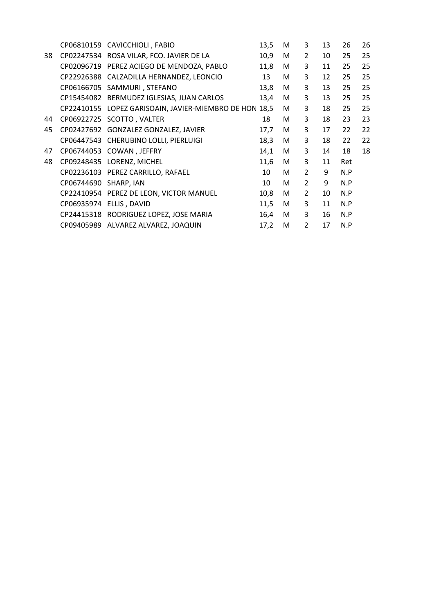|    |                       | CP06810159 CAVICCHIOLI, FABIO                          | 13,5 | M | 3              | 13 | 26  | 26 |
|----|-----------------------|--------------------------------------------------------|------|---|----------------|----|-----|----|
| 38 |                       | CP02247534 ROSA VILAR, FCO. JAVIER DE LA               | 10,9 | M | $\overline{2}$ | 10 | 25  | 25 |
|    |                       | CP02096719 PEREZ ACIEGO DE MENDOZA, PABLO              | 11,8 | M | 3              | 11 | 25  | 25 |
|    | CP22926388            | CALZADILLA HERNANDEZ, LEONCIO                          | 13   | М | 3              | 12 | 25  | 25 |
|    | CP06166705            | SAMMURI, STEFANO                                       | 13,8 | M | 3              | 13 | 25  | 25 |
|    |                       | CP15454082 BERMUDEZ IGLESIAS, JUAN CARLOS              | 13,4 | М | 3              | 13 | 25  | 25 |
|    |                       | CP22410155 LOPEZ GARISOAIN, JAVIER-MIEMBRO DE HON 18,5 |      | М | 3              | 18 | 25  | 25 |
| 44 |                       | CP06922725 SCOTTO, VALTER                              | 18   | м | 3              | 18 | 23  | 23 |
| 45 |                       | CP02427692 GONZALEZ GONZALEZ, JAVIER                   | 17,7 | M | 3              | 17 | 22  | 22 |
|    |                       | CP06447543 CHERUBINO LOLLI, PIERLUIGI                  | 18,3 | M | 3              | 18 | 22  | 22 |
| 47 |                       | CP06744053 COWAN, JEFFRY                               | 14,1 | M | 3              | 14 | 18  | 18 |
| 48 |                       | CP09248435 LORENZ, MICHEL                              | 11,6 | M | 3              | 11 | Ret |    |
|    |                       | CP02236103 PEREZ CARRILLO, RAFAEL                      | 10   | M | $\overline{2}$ | 9  | N.P |    |
|    | CP06744690 SHARP, IAN |                                                        | 10   | М | $\overline{2}$ | 9  | N.P |    |
|    |                       | CP22410954 PEREZ DE LEON, VICTOR MANUEL                | 10,8 | M | $\overline{2}$ | 10 | N.P |    |
|    |                       | CP06935974 ELLIS, DAVID                                | 11,5 | М | 3              | 11 | N.P |    |
|    |                       | CP24415318 RODRIGUEZ LOPEZ, JOSE MARIA                 | 16,4 | M | 3              | 16 | N.P |    |
|    |                       | CP09405989 ALVAREZ ALVAREZ, JOAQUIN                    | 17,2 | М | $\overline{2}$ | 17 | N.P |    |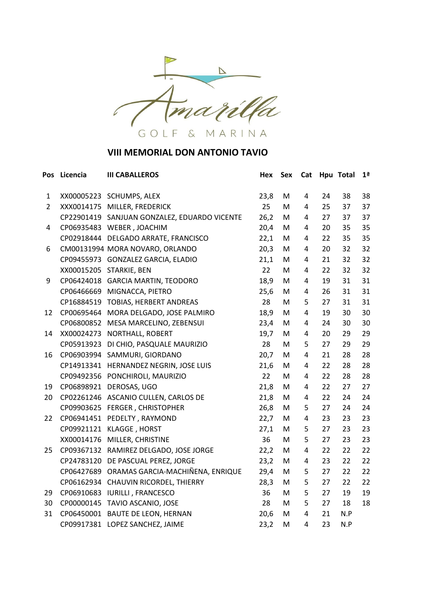

| Pos            | Licencia   | <b>III CABALLEROS</b>                        | Hex  | Sex | Cat |    | Hpu Total | 1 <sup>a</sup> |
|----------------|------------|----------------------------------------------|------|-----|-----|----|-----------|----------------|
| 1              |            | XX00005223 SCHUMPS, ALEX                     | 23,8 | M   | 4   | 24 | 38        | 38             |
| $\overline{2}$ |            | XXX0014175 MILLER, FREDERICK                 | 25   | M   | 4   | 25 | 37        | 37             |
|                |            | CP22901419 SANJUAN GONZALEZ, EDUARDO VICENTE | 26,2 | M   | 4   | 27 | 37        | 37             |
| 4              |            | CP06935483 WEBER, JOACHIM                    | 20,4 | M   | 4   | 20 | 35        | 35             |
|                |            | CP02918444 DELGADO ARRATE, FRANCISCO         | 22,1 | M   | 4   | 22 | 35        | 35             |
| 6              |            | CM00131994 MORA NOVARO, ORLANDO              | 20,3 | M   | 4   | 20 | 32        | 32             |
|                |            | CP09455973 GONZALEZ GARCIA, ELADIO           | 21,1 | M   | 4   | 21 | 32        | 32             |
|                |            | XX00015205 STARKIE, BEN                      | 22   | M   | 4   | 22 | 32        | 32             |
| 9              |            | CP06424018 GARCIA MARTIN, TEODORO            | 18,9 | M   | 4   | 19 | 31        | 31             |
|                |            | CP06466669 MIGNACCA, PIETRO                  | 25,6 | M   | 4   | 26 | 31        | 31             |
|                | CP16884519 | TOBIAS, HERBERT ANDREAS                      | 28   | M   | 5   | 27 | 31        | 31             |
| 12             | CP00695464 | MORA DELGADO, JOSE PALMIRO                   | 18,9 | M   | 4   | 19 | 30        | 30             |
|                |            | CP06800852 MESA MARCELINO, ZEBENSUI          | 23,4 | M   | 4   | 24 | 30        | 30             |
| 14             |            | XX00024273 NORTHALL, ROBERT                  | 19,7 | M   | 4   | 20 | 29        | 29             |
|                | CP05913923 | DI CHIO, PASQUALE MAURIZIO                   | 28   | M   | 5   | 27 | 29        | 29             |
| 16             | CP06903994 | SAMMURI, GIORDANO                            | 20,7 | M   | 4   | 21 | 28        | 28             |
|                |            | CP14913341 HERNANDEZ NEGRIN, JOSE LUIS       | 21,6 | M   | 4   | 22 | 28        | 28             |
|                |            | CP09492356 PONCHIROLI, MAURIZIO              | 22   | M   | 4   | 22 | 28        | 28             |
| 19             | CP06898921 | DEROSAS, UGO                                 | 21,8 | M   | 4   | 22 | 27        | 27             |
| 20             |            | CP02261246 ASCANIO CULLEN, CARLOS DE         | 21,8 | M   | 4   | 22 | 24        | 24             |
|                | CP09903625 | FERGER, CHRISTOPHER                          | 26,8 | M   | 5   | 27 | 24        | 24             |
| 22             |            | CP06941451 PEDELTY, RAYMOND                  | 22,7 | M   | 4   | 23 | 23        | 23             |
|                |            | CP09921121 KLAGGE, HORST                     | 27,1 | M   | 5   | 27 | 23        | 23             |
|                | XX00014176 | MILLER, CHRISTINE                            | 36   | M   | 5   | 27 | 23        | 23             |
| 25             | CP09367132 | RAMIREZ DELGADO, JOSE JORGE                  | 22,2 | M   | 4   | 22 | 22        | 22             |
|                |            | CP24783120 DE PASCUAL PEREZ, JORGE           | 23,2 | M   | 4   | 23 | 22        | 22             |
|                |            | CP06427689 ORAMAS GARCIA-MACHIÑENA, ENRIQUE  | 29,4 | M   | 5   | 27 | 22        | 22             |
|                |            | CP06162934 CHAUVIN RICORDEL, THIERRY         | 28,3 | M   | 5   | 27 | 22        | 22             |
| 29             |            | CP06910683 IURILLI, FRANCESCO                | 36   | M   | 5   | 27 | 19        | 19             |
| 30             | CP00000145 | TAVIO ASCANIO, JOSE                          | 28   | M   | 5   | 27 | 18        | 18             |
| 31             |            | CP06450001 BAUTE DE LEON, HERNAN             | 20,6 | M   | 4   | 21 | N.P       |                |
|                |            | CP09917381 LOPEZ SANCHEZ, JAIME              | 23,2 | М   | 4   | 23 | N.P       |                |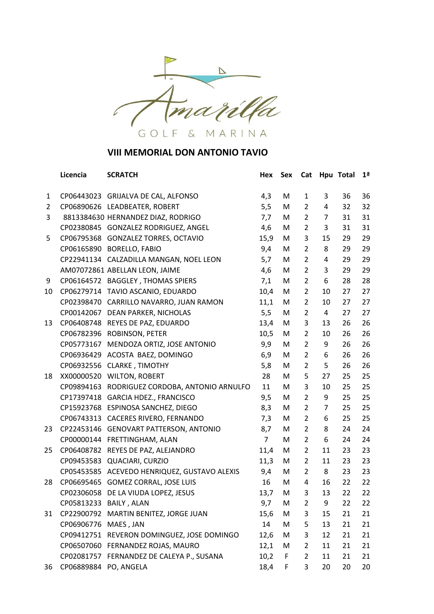

|                | Licencia               | <b>SCRATCH</b>                             | Hex            | Sex | Cat            |                | Hpu Total | 1 <sup>a</sup> |
|----------------|------------------------|--------------------------------------------|----------------|-----|----------------|----------------|-----------|----------------|
| 1              |                        | CP06443023 GRIJALVA DE CAL, ALFONSO        | 4,3            | M   | $\mathbf{1}$   | 3              | 36        | 36             |
| $\overline{2}$ |                        | CP06890626 LEADBEATER, ROBERT              | 5,5            | M   | 2              | 4              | 32        | 32             |
| 3              |                        | 8813384630 HERNANDEZ DIAZ, RODRIGO         | 7,7            | M   | $\overline{2}$ | 7              | 31        | 31             |
|                |                        | CP02380845 GONZALEZ RODRIGUEZ, ANGEL       | 4,6            | M   | $\overline{2}$ | 3              | 31        | 31             |
| 5              |                        | CP06795368 GONZALEZ TORRES, OCTAVIO        | 15,9           | M   | 3              | 15             | 29        | 29             |
|                |                        | CP06165890 BORELLO, FABIO                  | 9,4            | M   | $\overline{2}$ | 8              | 29        | 29             |
|                |                        | CP22941134 CALZADILLA MANGAN, NOEL LEON    | 5,7            | M   | 2              | 4              | 29        | 29             |
|                |                        | AM07072861 ABELLAN LEON, JAIME             | 4,6            | M   | $\overline{2}$ | 3              | 29        | 29             |
| 9              |                        | CP06164572 BAGGLEY, THOMAS SPIERS          | 7,1            | M   | $\overline{2}$ | 6              | 28        | 28             |
| 10             |                        | CP06279714 TAVIO ASCANIO, EDUARDO          | 10,4           | M   | 2              | 10             | 27        | 27             |
|                |                        | CP02398470 CARRILLO NAVARRO, JUAN RAMON    | 11,1           | M   | $\overline{2}$ | 10             | 27        | 27             |
|                |                        | CP00142067 DEAN PARKER, NICHOLAS           | 5,5            | M   | $\overline{2}$ | $\overline{4}$ | 27        | 27             |
| 13             | CP06408748             | REYES DE PAZ, EDUARDO                      | 13,4           | M   | 3              | 13             | 26        | 26             |
|                |                        | CP06782396 ROBINSON, PETER                 | 10,5           | M   | $\overline{2}$ | 10             | 26        | 26             |
|                | CP05773167             | MENDOZA ORTIZ, JOSE ANTONIO                | 9,9            | M   | $\overline{2}$ | 9              | 26        | 26             |
|                |                        | CP06936429 ACOSTA BAEZ, DOMINGO            | 6,9            | M   | $\overline{2}$ | 6              | 26        | 26             |
|                | CP06932556             | CLARKE, TIMOTHY                            | 5,8            | M   | $\overline{2}$ | 5              | 26        | 26             |
| 18             |                        | XX00000520 WILTON, ROBERT                  | 28             | M   | 5              | 27             | 25        | 25             |
|                | CP09894163             | RODRIGUEZ CORDOBA, ANTONIO ARNULFO         | 11             | M   | 3              | 10             | 25        | 25             |
|                | CP17397418             | GARCIA HDEZ., FRANCISCO                    | 9,5            | M   | 2              | 9              | 25        | 25             |
|                |                        | CP15923768 ESPINOSA SANCHEZ, DIEGO         | 8,3            | M   | $\overline{2}$ | 7              | 25        | 25             |
|                | CP06743313             | CACERES RIVERO, FERNANDO                   | 7,3            | M   | $\overline{2}$ | 6              | 25        | 25             |
| 23             |                        | CP22453146 GENOVART PATTERSON, ANTONIO     | 8,7            | M   | $\overline{2}$ | 8              | 24        | 24             |
|                | CP00000144             | FRETTINGHAM, ALAN                          | $\overline{7}$ | M   | $\overline{2}$ | 6              | 24        | 24             |
| 25             | CP06408782             | REYES DE PAZ, ALEJANDRO                    | 11,4           | M   | $\overline{2}$ | 11             | 23        | 23             |
|                |                        | CP09453583 QUACIARI, CURZIO                | 11,3           | M   | $\overline{2}$ | 11             | 23        | 23             |
|                | CP05453585             | ACEVEDO HENRIQUEZ, GUSTAVO ALEXIS          | 9,4            | M   | $\overline{2}$ | 8              | 23        | 23             |
| 28             |                        | CP06695465 GOMEZ CORRAL, JOSE LUIS         | 16             | M   | 4              | 16             | 22        | 22             |
|                | CP02306058             | DE LA VIUDA LOPEZ, JESUS                   | 13,7           | M   | 3              | 13             | 22        | 22             |
|                | CP05813233 BAILY, ALAN |                                            | 9,7            | M   | $\overline{2}$ | 9              | 22        | 22             |
| 31             | CP22900792             | MARTIN BENITEZ, JORGE JUAN                 | 15,6           | M   | 3              | 15             | 21        | 21             |
|                | CP06906776 MAES, JAN   |                                            | 14             | M   | 5              | 13             | 21        | 21             |
|                |                        | CP09412751 REVERON DOMINGUEZ, JOSE DOMINGO | 12,6           | M   | 3              | 12             | 21        | 21             |
|                |                        | CP06507060 FERNANDEZ ROJAS, MAURO          | 12,1           | M   | $\overline{2}$ | 11             | 21        | 21             |
|                |                        | CP02081757 FERNANDEZ DE CALEYA P., SUSANA  | 10,2           | F   | $\overline{2}$ | 11             | 21        | 21             |
| 36             | CP06889884 PO, ANGELA  |                                            | 18,4           | F   | 3              | 20             | 20        | 20             |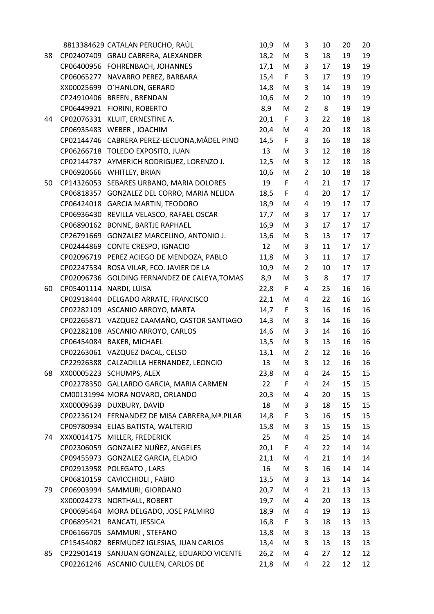|    |            | 8813384629 CATALAN PERUCHO, RAÚL                | 10,9 | M           | 3              | 10 | 20 | 20 |
|----|------------|-------------------------------------------------|------|-------------|----------------|----|----|----|
| 38 |            | CP02407409 GRAU CABRERA, ALEXANDER              | 18,2 | M           | 3              | 18 | 19 | 19 |
|    |            | CP06400956 FOHRENBACH, JOHANNES                 | 17,1 | M           | 3              | 17 | 19 | 19 |
|    | CP06065277 | NAVARRO PEREZ, BARBARA                          | 15,4 | $\mathsf F$ | 3              | 17 | 19 | 19 |
|    | XX00025699 | O'HANLON, GERARD                                | 14,8 | M           | 3              | 14 | 19 | 19 |
|    | CP24910406 | <b>BREEN, BRENDAN</b>                           | 10,6 | M           | $\overline{2}$ | 10 | 19 | 19 |
|    | CP06449921 | FIORINI, ROBERTO                                | 8,9  | M           | $\overline{2}$ | 8  | 19 | 19 |
| 44 | CP02076331 | KLUIT, ERNESTINE A.                             | 20,1 | $\mathsf F$ | 3              | 22 | 18 | 18 |
|    | CP06935483 | WEBER, JOACHIM                                  | 20,4 | M           | 4              | 20 | 18 | 18 |
|    |            | CP02144746 CABRERA PEREZ-LECUONA, MÅDEL PINO    | 14,5 | $\mathsf F$ | 3              | 16 | 18 | 18 |
|    |            | CP06266718 TOLEDO EXPOSITO, JUAN                | 13   | M           | 3              | 12 | 18 | 18 |
|    |            | CP02144737 AYMERICH RODRIGUEZ, LORENZO J.       | 12,5 | M           | 3              | 12 | 18 | 18 |
|    | CP06920666 | WHITLEY, BRIAN                                  | 10,6 | M           | $\overline{2}$ | 10 | 18 | 18 |
| 50 | CP14326053 | SEBARES URBANO, MARIA DOLORES                   | 19   | F           | 4              | 21 | 17 | 17 |
|    | CP06818357 | GONZALEZ DEL CORRO, MARIA NELIDA                | 18,5 | $\mathsf F$ | 4              | 20 | 17 | 17 |
|    | CP06424018 | <b>GARCIA MARTIN, TEODORO</b>                   | 18,9 | M           | 4              | 19 | 17 | 17 |
|    | CP06936430 | REVILLA VELASCO, RAFAEL OSCAR                   | 17,7 | M           | 3              | 17 | 17 | 17 |
|    | CP06890162 | <b>BONNE, BARTJE RAPHAEL</b>                    | 16,9 | M           | 3              | 17 | 17 | 17 |
|    | CP26791669 | <b>GONZALEZ MARCELINO, ANTONIO J.</b>           | 13,6 | M           | 3              | 13 | 17 | 17 |
|    | CP02444869 | CONTE CRESPO, IGNACIO                           | 12   | M           | 3              | 11 | 17 | 17 |
|    |            | CP02096719 PEREZ ACIEGO DE MENDOZA, PABLO       | 11,8 | M           | 3              | 11 | 17 | 17 |
|    |            | CP02247534 ROSA VILAR, FCO. JAVIER DE LA        | 10,9 | M           | 2              | 10 | 17 | 17 |
|    | CP02096736 | GOLDING FERNANDEZ DE CALEYA, TOMAS              | 8,9  | M           | 3              | 8  | 17 | 17 |
| 60 | CP05401114 | NARDI, LUISA                                    | 22,8 | $\mathsf F$ | 4              | 25 | 16 | 16 |
|    | CP02918444 | DELGADO ARRATE, FRANCISCO                       | 22,1 | M           | 4              | 22 | 16 | 16 |
|    |            | CP02282109 ASCANIO ARROYO, MARTA                | 14,7 | $\mathsf F$ | 3              | 16 | 16 | 16 |
|    |            | CP02265871 VAZQUEZ CAAMAÑO, CASTOR SANTIAGO     | 14,3 | M           | 3              | 14 | 16 | 16 |
|    | CP02282108 | ASCANIO ARROYO, CARLOS                          | 14,6 | M           | 3              | 14 | 16 | 16 |
|    |            | CP06454084 BAKER, MICHAEL                       | 13,5 | M           | 3              | 13 | 16 | 16 |
|    |            | CP02263061 VAZQUEZ DACAL, CELSO                 | 13,1 | M           | 2              | 12 | 16 | 16 |
|    |            | CP22926388 CALZADILLA HERNANDEZ, LEONCIO        | 13   | M           | 3              | 12 | 16 | 16 |
| 68 |            | XX00005223 SCHUMPS, ALEX                        | 23,8 | Μ           | 4              | 24 | 15 | 15 |
|    |            | CP02278350 GALLARDO GARCIA, MARIA CARMEN        | 22   | F           | 4              | 24 | 15 | 15 |
|    |            | CM00131994 MORA NOVARO, ORLANDO                 | 20,3 | M           | 4              | 20 | 15 | 15 |
|    | XX00009639 | DUXBURY, DAVID                                  | 18   | M           | 3              | 18 | 15 | 15 |
|    |            | CP02236124 FERNANDEZ DE MISA CABRERA, Mª. PILAR | 14,8 | $\mathsf F$ | 3              | 16 | 15 | 15 |
|    |            | CP09780934 ELIAS BATISTA, WALTERIO              | 15,8 | M           | 3              | 15 | 15 | 15 |
| 74 | XXX0014175 | MILLER, FREDERICK                               | 25   | M           | 4              | 25 | 14 | 14 |
|    | CP02306059 | GONZALEZ NUÑEZ, ANGELES                         | 20,1 | F           | 4              | 22 | 14 | 14 |
|    | CP09455973 | GONZALEZ GARCIA, ELADIO                         | 21,1 | M           | 4              | 21 | 14 | 14 |
|    |            | CP02913958 POLEGATO, LARS                       | 16   | M           | 3              | 16 | 14 | 14 |
|    | CP06810159 | CAVICCHIOLI, FABIO                              | 13,5 | M           | 3              | 13 | 14 | 14 |
| 79 |            | CP06903994 SAMMURI, GIORDANO                    | 20,7 | M           | 4              | 21 | 13 | 13 |
|    | XX00024273 | NORTHALL, ROBERT                                | 19,7 | M           | 4              | 20 | 13 | 13 |
|    | CP00695464 | MORA DELGADO, JOSE PALMIRO                      | 18,9 | M           | 4              | 19 | 13 | 13 |
|    | CP06895421 | RANCATI, JESSICA                                | 16,8 | $\mathsf F$ | 3              | 18 | 13 | 13 |
|    | CP06166705 | SAMMURI, STEFANO                                | 13,8 | M           | 3              | 13 | 13 | 13 |
|    |            | CP15454082 BERMUDEZ IGLESIAS, JUAN CARLOS       | 13,4 | M           | 3              | 13 | 13 | 13 |
| 85 | CP22901419 | SANJUAN GONZALEZ, EDUARDO VICENTE               | 26,2 | M           | 4              | 27 | 12 | 12 |
|    |            | CP02261246 ASCANIO CULLEN, CARLOS DE            | 21,8 | M           | 4              | 22 | 12 | 12 |
|    |            |                                                 |      |             |                |    |    |    |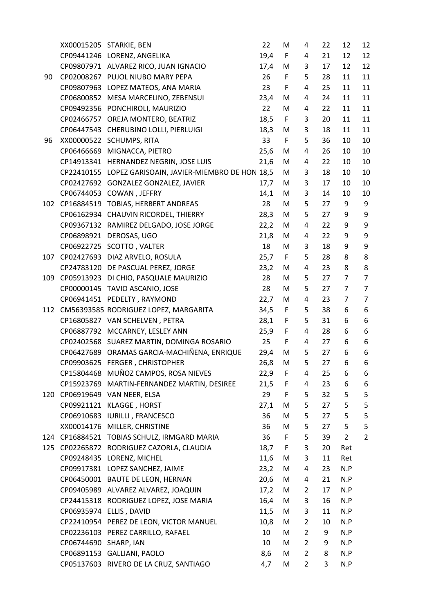|     |                         | XX00015205 STARKIE, BEN                                | 22   | М            | 4              | 22 | 12             | 12               |
|-----|-------------------------|--------------------------------------------------------|------|--------------|----------------|----|----------------|------------------|
|     |                         | CP09441246 LORENZ, ANGELIKA                            | 19,4 | $\mathsf{F}$ | 4              | 21 | 12             | 12               |
|     |                         | CP09807971 ALVAREZ RICO, JUAN IGNACIO                  | 17,4 | M            | 3              | 17 | 12             | 12               |
| 90  |                         | CP02008267 PUJOL NIUBO MARY PEPA                       | 26   | F            | 5              | 28 | 11             | 11               |
|     |                         | CP09807963 LOPEZ MATEOS, ANA MARIA                     | 23   | F            | 4              | 25 | 11             | 11               |
|     |                         | CP06800852 MESA MARCELINO, ZEBENSUI                    | 23,4 | M            | 4              | 24 | 11             | 11               |
|     |                         | CP09492356 PONCHIROLI, MAURIZIO                        | 22   | M            | 4              | 22 | 11             | 11               |
|     |                         | CP02466757 OREJA MONTERO, BEATRIZ                      | 18,5 | $\mathsf F$  | 3              | 20 | 11             | 11               |
|     |                         | CP06447543 CHERUBINO LOLLI, PIERLUIGI                  | 18,3 | M            | 3              | 18 | 11             | 11               |
| 96  |                         | XX00000522 SCHUMPS, RITA                               | 33   | $\mathsf F$  | 5              | 36 | 10             | 10               |
|     |                         | CP06466669 MIGNACCA, PIETRO                            | 25,6 | M            | 4              | 26 | 10             | 10               |
|     |                         | CP14913341 HERNANDEZ NEGRIN, JOSE LUIS                 | 21,6 | M            | 4              | 22 | 10             | 10               |
|     |                         | CP22410155 LOPEZ GARISOAIN, JAVIER-MIEMBRO DE HON 18,5 |      | M            | 3              | 18 | 10             | 10               |
|     |                         | CP02427692 GONZALEZ GONZALEZ, JAVIER                   | 17,7 | M            | 3              | 17 | 10             | 10               |
|     |                         | CP06744053 COWAN, JEFFRY                               | 14,1 | M            | 3              | 14 | 10             | 10               |
| 102 |                         | CP16884519 TOBIAS, HERBERT ANDREAS                     | 28   | M            | 5              | 27 | 9              | 9                |
|     |                         | CP06162934 CHAUVIN RICORDEL, THIERRY                   | 28,3 | M            | 5              | 27 | 9              | $\boldsymbol{9}$ |
|     |                         | CP09367132 RAMIREZ DELGADO, JOSE JORGE                 | 22,2 | M            | 4              | 22 | 9              | 9                |
|     |                         | CP06898921 DEROSAS, UGO                                | 21,8 | M            | 4              | 22 | 9              | 9                |
|     |                         | CP06922725 SCOTTO, VALTER                              | 18   | M            | 3              | 18 | 9              | 9                |
| 107 |                         | CP02427693 DIAZ ARVELO, ROSULA                         | 25,7 | F            | 5              | 28 | 8              | 8                |
|     |                         | CP24783120 DE PASCUAL PEREZ, JORGE                     | 23,2 | M            | 4              | 23 | 8              | 8                |
| 109 |                         | CP05913923 DI CHIO, PASQUALE MAURIZIO                  | 28   | M            | 5              | 27 | $\overline{7}$ | $\overline{7}$   |
|     |                         | CP00000145 TAVIO ASCANIO, JOSE                         | 28   | M            | 5              | 27 | $\overline{7}$ | $\overline{7}$   |
|     |                         | CP06941451 PEDELTY, RAYMOND                            | 22,7 | M            | 4              | 23 | $\overline{7}$ | $\overline{7}$   |
| 112 |                         | CM56393585 RODRIGUEZ LOPEZ, MARGARITA                  | 34,5 | $\mathsf F$  | 5              | 38 | 6              | 6                |
|     |                         | CP16805827 VAN SCHELVEN, PETRA                         | 28,1 | $\mathsf F$  | 5              | 31 | 6              | 6                |
|     |                         | CP06887792 MCCARNEY, LESLEY ANN                        | 25,9 | F            | 4              | 28 | 6              | 6                |
|     |                         | CP02402568 SUAREZ MARTIN, DOMINGA ROSARIO              | 25   | F            | 4              | 27 | 6              | 6                |
|     |                         | CP06427689 ORAMAS GARCIA-MACHIÑENA, ENRIQUE            | 29,4 | M            | 5              | 27 | 6              | 6                |
|     |                         | CP09903625 FERGER, CHRISTOPHER                         | 26,8 | M            | 5              | 27 | 6              | 6                |
|     |                         | CP15804468 MUÑOZ CAMPOS, ROSA NIEVES                   | 22,9 | F            | 4              | 25 | 6              | 6                |
|     |                         | CP15923769 MARTIN-FERNANDEZ MARTIN, DESIREE            | 21,5 | $\mathsf F$  | 4              | 23 | 6              | 6                |
| 120 |                         | CP06919649 VAN NEER, ELSA                              | 29   | $\mathsf F$  | 5              | 32 | 5              | 5                |
|     | CP09921121              | KLAGGE, HORST                                          | 27,1 | M            | 5              | 27 | 5              | $\mathsf S$      |
|     |                         | CP06910683 IURILLI, FRANCESCO                          | 36   | M            | 5              | 27 | 5              | 5                |
|     |                         | XX00014176 MILLER, CHRISTINE                           | 36   | M            | 5              | 27 | 5              | 5                |
|     |                         | 124 CP16884521 TOBIAS SCHULZ, IRMGARD MARIA            | 36   | $\mathsf F$  | 5              | 39 | $\overline{2}$ | $\overline{2}$   |
| 125 |                         | CP02265872 RODRIGUEZ CAZORLA, CLAUDIA                  | 18,7 | $\mathsf F$  | 3              | 20 | Ret            |                  |
|     |                         | CP09248435 LORENZ, MICHEL                              | 11,6 | M            | 3              | 11 | Ret            |                  |
|     |                         | CP09917381 LOPEZ SANCHEZ, JAIME                        | 23,2 | M            | 4              | 23 | N.P            |                  |
|     |                         | CP06450001 BAUTE DE LEON, HERNAN                       | 20,6 | M            | 4              | 21 | N.P            |                  |
|     |                         | CP09405989 ALVAREZ ALVAREZ, JOAQUIN                    | 17,2 | M            | $\overline{2}$ | 17 | N.P            |                  |
|     |                         | CP24415318 RODRIGUEZ LOPEZ, JOSE MARIA                 | 16,4 | M            | 3              | 16 | N.P            |                  |
|     | CP06935974 ELLIS, DAVID |                                                        | 11,5 | M            | 3              | 11 | N.P            |                  |
|     |                         | CP22410954 PEREZ DE LEON, VICTOR MANUEL                | 10,8 | M            | $\overline{2}$ | 10 | N.P            |                  |
|     |                         | CP02236103 PEREZ CARRILLO, RAFAEL                      | 10   | M            | $\overline{2}$ | 9  | N.P            |                  |
|     | CP06744690 SHARP, IAN   |                                                        | 10   | M            | $\overline{2}$ | 9  | N.P            |                  |
|     | CP06891153              | <b>GALLIANI, PAOLO</b>                                 | 8,6  | M            | $\overline{2}$ | 8  | N.P            |                  |
|     |                         | CP05137603 RIVERO DE LA CRUZ, SANTIAGO                 | 4,7  | M            | $\overline{2}$ | 3  | N.P            |                  |
|     |                         |                                                        |      |              |                |    |                |                  |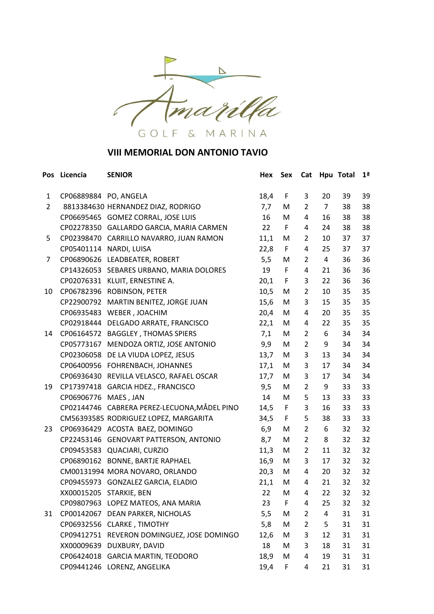

| Pos            | Licencia              | <b>SENIOR</b>                                | Hex  | Sex         | Cat            |                | Hpu Total | 1 <sup>a</sup> |
|----------------|-----------------------|----------------------------------------------|------|-------------|----------------|----------------|-----------|----------------|
| $\mathbf{1}$   | CP06889884 PO, ANGELA |                                              | 18,4 | F           | 3              | 20             | 39        | 39             |
| $\overline{2}$ |                       | 8813384630 HERNANDEZ DIAZ, RODRIGO           | 7,7  | M           | $\overline{2}$ | $\overline{7}$ | 38        | 38             |
|                |                       | CP06695465 GOMEZ CORRAL, JOSE LUIS           | 16   | М           | 4              | 16             | 38        | 38             |
|                |                       | CP02278350 GALLARDO GARCIA, MARIA CARMEN     | 22   | F           | 4              | 24             | 38        | 38             |
| 5              |                       | CP02398470 CARRILLO NAVARRO, JUAN RAMON      | 11,1 | M           | 2              | 10             | 37        | 37             |
|                |                       | CP05401114 NARDI, LUISA                      | 22,8 | F           | 4              | 25             | 37        | 37             |
| 7              |                       | CP06890626 LEADBEATER, ROBERT                | 5,5  | M           | 2              | $\overline{4}$ | 36        | 36             |
|                |                       | CP14326053 SEBARES URBANO, MARIA DOLORES     | 19   | F           | 4              | 21             | 36        | 36             |
|                |                       | CP02076331 KLUIT, ERNESTINE A.               | 20,1 | $\mathsf F$ | 3              | 22             | 36        | 36             |
| 10             | CP06782396            | ROBINSON, PETER                              | 10,5 | M           | $\overline{2}$ | 10             | 35        | 35             |
|                |                       | CP22900792 MARTIN BENITEZ, JORGE JUAN        | 15,6 | M           | 3              | 15             | 35        | 35             |
|                | CP06935483            | WEBER, JOACHIM                               | 20,4 | M           | 4              | 20             | 35        | 35             |
|                | CP02918444            | DELGADO ARRATE, FRANCISCO                    | 22,1 | M           | 4              | 22             | 35        | 35             |
| 14             |                       | CP06164572 BAGGLEY, THOMAS SPIERS            | 7,1  | M           | 2              | 6              | 34        | 34             |
|                | CP05773167            | MENDOZA ORTIZ, JOSE ANTONIO                  | 9,9  | M           | 2              | 9              | 34        | 34             |
|                |                       | CP02306058 DE LA VIUDA LOPEZ, JESUS          | 13,7 | M           | 3              | 13             | 34        | 34             |
|                |                       | CP06400956 FOHRENBACH, JOHANNES              | 17,1 | M           | 3              | 17             | 34        | 34             |
|                |                       | CP06936430 REVILLA VELASCO, RAFAEL OSCAR     | 17,7 | M           | 3              | 17             | 34        | 34             |
| 19             |                       | CP17397418 GARCIA HDEZ., FRANCISCO           | 9,5  | M           | 2              | 9              | 33        | 33             |
|                | CP06906776 MAES, JAN  |                                              | 14   | М           | 5              | 13             | 33        | 33             |
|                |                       | CP02144746 CABRERA PEREZ-LECUONA, MÅDEL PINO | 14,5 | $\mathsf F$ | 3              | 16             | 33        | 33             |
|                |                       | CM56393585 RODRIGUEZ LOPEZ, MARGARITA        | 34,5 | F           | 5              | 38             | 33        | 33             |
| 23             |                       | CP06936429 ACOSTA BAEZ, DOMINGO              | 6,9  | M           | $\overline{2}$ | 6              | 32        | 32             |
|                |                       | CP22453146 GENOVART PATTERSON, ANTONIO       | 8,7  | M           | $\overline{2}$ | 8              | 32        | 32             |
|                |                       | CP09453583 QUACIARI, CURZIO                  | 11,3 | M           | $\overline{2}$ | 11             | 32        | 32             |
|                |                       | CP06890162 BONNE, BARTJE RAPHAEL             | 16,9 | M           | 3              | 17             | 32        | 32             |
|                |                       | CM00131994 MORA NOVARO, ORLANDO              | 20,3 | M           | 4              | 20             | 32        | 32             |
|                |                       | CP09455973 GONZALEZ GARCIA, ELADIO           | 21,1 | M           | 4              | 21             | 32        | 32             |
|                |                       | XX00015205 STARKIE, BEN                      | 22   | M           | 4              | 22             | 32        | 32             |
|                |                       | CP09807963 LOPEZ MATEOS, ANA MARIA           | 23   | F           | 4              | 25             | 32        | 32             |
| 31             |                       | CP00142067 DEAN PARKER, NICHOLAS             | 5,5  | M           | 2              | 4              | 31        | 31             |
|                |                       | CP06932556 CLARKE, TIMOTHY                   | 5,8  | M           | 2              | 5              | 31        | 31             |
|                |                       | CP09412751 REVERON DOMINGUEZ, JOSE DOMINGO   | 12,6 | M           | 3              | 12             | 31        | 31             |
|                | XX00009639            | DUXBURY, DAVID                               | 18   | M           | 3              | 18             | 31        | 31             |
|                |                       | CP06424018 GARCIA MARTIN, TEODORO            | 18,9 | M           | 4              | 19             | 31        | 31             |
|                |                       | CP09441246 LORENZ, ANGELIKA                  | 19,4 | F           | 4              | 21             | 31        | 31             |